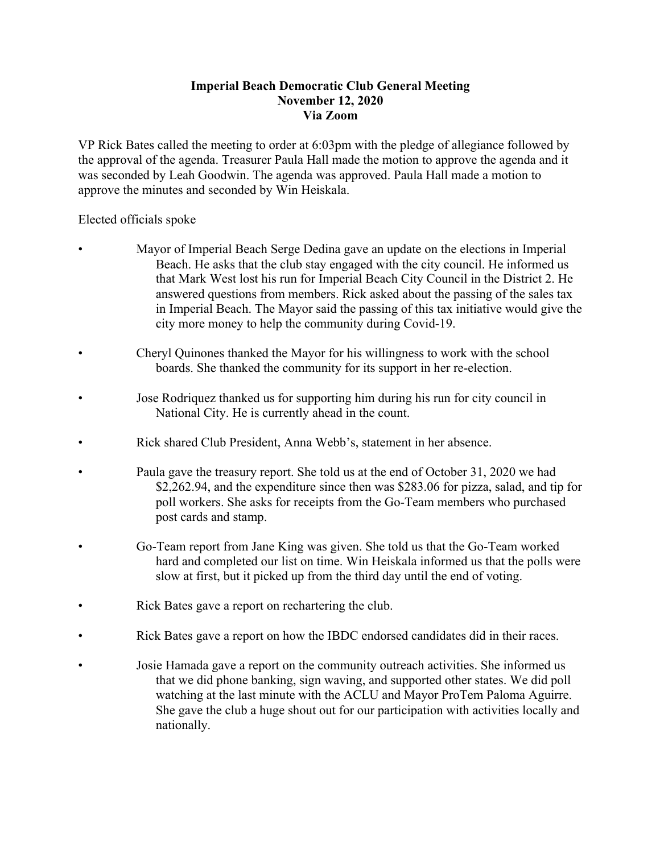## **Imperial Beach Democratic Club General Meeting November 12, 2020 Via Zoom**

VP Rick Bates called the meeting to order at 6:03pm with the pledge of allegiance followed by the approval of the agenda. Treasurer Paula Hall made the motion to approve the agenda and it was seconded by Leah Goodwin. The agenda was approved. Paula Hall made a motion to approve the minutes and seconded by Win Heiskala.

Elected officials spoke

- Mayor of Imperial Beach Serge Dedina gave an update on the elections in Imperial Beach. He asks that the club stay engaged with the city council. He informed us that Mark West lost his run for Imperial Beach City Council in the District 2. He answered questions from members. Rick asked about the passing of the sales tax in Imperial Beach. The Mayor said the passing of this tax initiative would give the city more money to help the community during Covid-19.
- Cheryl Quinones thanked the Mayor for his willingness to work with the school boards. She thanked the community for its support in her re-election.
- Jose Rodriquez thanked us for supporting him during his run for city council in National City. He is currently ahead in the count.
- Rick shared Club President, Anna Webb's, statement in her absence.
- Paula gave the treasury report. She told us at the end of October 31, 2020 we had \$2,262.94, and the expenditure since then was \$283.06 for pizza, salad, and tip for poll workers. She asks for receipts from the Go-Team members who purchased post cards and stamp.
- Go-Team report from Jane King was given. She told us that the Go-Team worked hard and completed our list on time. Win Heiskala informed us that the polls were slow at first, but it picked up from the third day until the end of voting.
- Rick Bates gave a report on rechartering the club.
- Rick Bates gave a report on how the IBDC endorsed candidates did in their races.
- Josie Hamada gave a report on the community outreach activities. She informed us that we did phone banking, sign waving, and supported other states. We did poll watching at the last minute with the ACLU and Mayor ProTem Paloma Aguirre. She gave the club a huge shout out for our participation with activities locally and nationally.